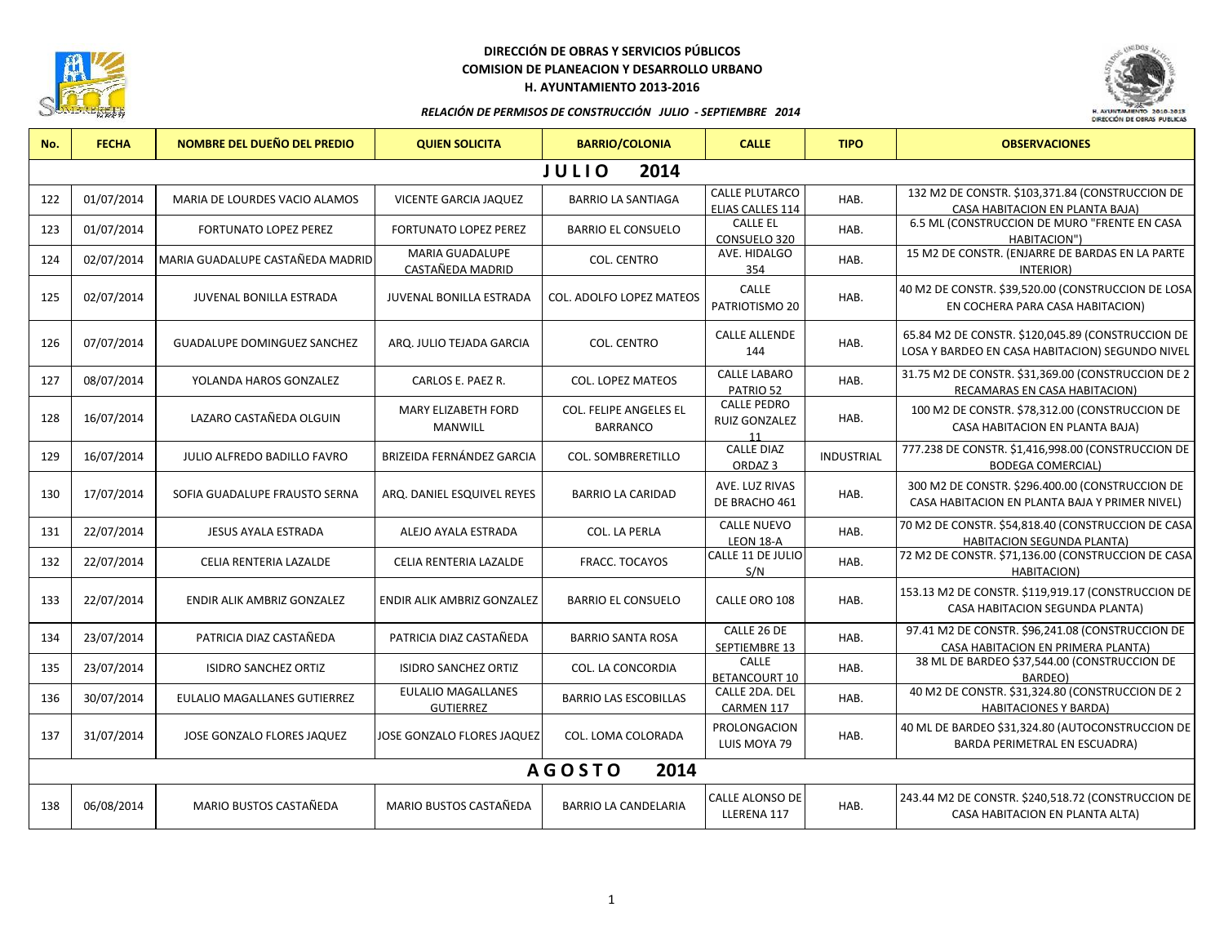

# **DIRECCIÓN DE OBRAS Y SERVICIOS PÚBLICOS COMISION DE PLANEACION Y DESARROLLO URBANO H. AYUNTAMIENTO 2013-2016**



#### *RELACIÓN DE PERMISOS DE CONSTRUCCIÓN JULIO - SEPTIEMBRE 2014*

| No.                   | <b>FECHA</b> | NOMBRE DEL DUEÑO DEL PREDIO         | <b>QUIEN SOLICITA</b>                         | <b>BARRIO/COLONIA</b>                            | <b>CALLE</b>                                     | <b>TIPO</b>       | <b>OBSERVACIONES</b>                                                                                 |  |  |
|-----------------------|--------------|-------------------------------------|-----------------------------------------------|--------------------------------------------------|--------------------------------------------------|-------------------|------------------------------------------------------------------------------------------------------|--|--|
| <b>JULIO</b><br>2014  |              |                                     |                                               |                                                  |                                                  |                   |                                                                                                      |  |  |
| 122                   | 01/07/2014   | MARIA DE LOURDES VACIO ALAMOS       | <b>VICENTE GARCIA JAQUEZ</b>                  | <b>BARRIO LA SANTIAGA</b>                        | <b>CALLE PLUTARCO</b><br><b>ELIAS CALLES 114</b> | HAB.              | 132 M2 DE CONSTR. \$103,371.84 (CONSTRUCCION DE<br>CASA HABITACION EN PLANTA BAJA)                   |  |  |
| 123                   | 01/07/2014   | <b>FORTUNATO LOPEZ PEREZ</b>        | <b>FORTUNATO LOPEZ PEREZ</b>                  | <b>BARRIO EL CONSUELO</b>                        | <b>CALLE EL</b><br>CONSUELO 320                  | HAB.              | 6.5 ML (CONSTRUCCION DE MURO "FRENTE EN CASA<br>HABITACION")                                         |  |  |
| 124                   | 02/07/2014   | MARIA GUADALUPE CASTAÑEDA MADRID    | <b>MARIA GUADALUPE</b><br>CASTAÑEDA MADRID    | <b>COL. CENTRO</b>                               | AVE. HIDALGO<br>354                              | HAB.              | 15 M2 DE CONSTR. (ENJARRE DE BARDAS EN LA PARTE<br>INTERIOR)                                         |  |  |
| 125                   | 02/07/2014   | <b>JUVENAL BONILLA ESTRADA</b>      | <b>JUVENAL BONILLA ESTRADA</b>                | <b>COL. ADOLFO LOPEZ MATEOS</b>                  | CALLE<br>PATRIOTISMO 20                          | HAB.              | 40 M2 DE CONSTR. \$39,520.00 (CONSTRUCCION DE LOSA<br>EN COCHERA PARA CASA HABITACION)               |  |  |
| 126                   | 07/07/2014   | <b>GUADALUPE DOMINGUEZ SANCHEZ</b>  | ARQ. JULIO TEJADA GARCIA                      | COL. CENTRO                                      | <b>CALLE ALLENDE</b><br>144                      | HAB.              | 65.84 M2 DE CONSTR. \$120,045.89 (CONSTRUCCION DE<br>LOSA Y BARDEO EN CASA HABITACION) SEGUNDO NIVEL |  |  |
| 127                   | 08/07/2014   | YOLANDA HAROS GONZALEZ              | CARLOS E. PAEZ R.                             | <b>COL. LOPEZ MATEOS</b>                         | <b>CALLE LABARO</b><br>PATRIO 52                 | HAB.              | 31.75 M2 DE CONSTR. \$31,369.00 (CONSTRUCCION DE 2<br>RECAMARAS EN CASA HABITACION)                  |  |  |
| 128                   | 16/07/2014   | LAZARO CASTAÑEDA OLGUIN             | <b>MARY ELIZABETH FORD</b><br><b>MANWILL</b>  | <b>COL. FELIPE ANGELES EL</b><br><b>BARRANCO</b> | <b>CALLE PEDRO</b><br>RUIZ GONZALEZ<br>11        | HAB.              | 100 M2 DE CONSTR. \$78,312.00 (CONSTRUCCION DE<br>CASA HABITACION EN PLANTA BAJA)                    |  |  |
| 129                   | 16/07/2014   | <b>JULIO ALFREDO BADILLO FAVRO</b>  | <b>BRIZEIDA FERNÁNDEZ GARCIA</b>              | COL. SOMBRERETILLO                               | <b>CALLE DIAZ</b><br>ORDAZ <sub>3</sub>          | <b>INDUSTRIAL</b> | 777.238 DE CONSTR. \$1,416,998.00 (CONSTRUCCION DE<br><b>BODEGA COMERCIAL)</b>                       |  |  |
| 130                   | 17/07/2014   | SOFIA GUADALUPE FRAUSTO SERNA       | ARQ. DANIEL ESQUIVEL REYES                    | <b>BARRIO LA CARIDAD</b>                         | AVE. LUZ RIVAS<br>DE BRACHO 461                  | HAB.              | 300 M2 DE CONSTR. \$296.400.00 (CONSTRUCCION DE<br>CASA HABITACION EN PLANTA BAJA Y PRIMER NIVEL)    |  |  |
| 131                   | 22/07/2014   | JESUS AYALA ESTRADA                 | ALEJO AYALA ESTRADA                           | <b>COL. LA PERLA</b>                             | <b>CALLE NUEVO</b><br>LEON 18-A                  | HAB.              | 70 M2 DE CONSTR. \$54,818.40 (CONSTRUCCION DE CASA<br><b>HABITACION SEGUNDA PLANTA)</b>              |  |  |
| 132                   | 22/07/2014   | CELIA RENTERIA LAZALDE              | CELIA RENTERIA LAZALDE                        | FRACC. TOCAYOS                                   | CALLE 11 DE JULIO<br>S/N                         | HAB.              | 72 M2 DE CONSTR. \$71,136.00 (CONSTRUCCION DE CASA<br><b>HABITACION)</b>                             |  |  |
| 133                   | 22/07/2014   | ENDIR ALIK AMBRIZ GONZALEZ          | ENDIR ALIK AMBRIZ GONZALEZ                    | <b>BARRIO EL CONSUELO</b>                        | CALLE ORO 108                                    | HAB.              | 153.13 M2 DE CONSTR. \$119,919.17 (CONSTRUCCION DE<br>CASA HABITACION SEGUNDA PLANTA)                |  |  |
| 134                   | 23/07/2014   | PATRICIA DIAZ CASTAÑEDA             | PATRICIA DIAZ CASTAÑEDA                       | <b>BARRIO SANTA ROSA</b>                         | CALLE 26 DE<br>SEPTIEMBRE 13                     | HAB.              | 97.41 M2 DE CONSTR. \$96,241.08 (CONSTRUCCION DE<br>CASA HABITACION EN PRIMERA PLANTA)               |  |  |
| 135                   | 23/07/2014   | <b>ISIDRO SANCHEZ ORTIZ</b>         | <b>ISIDRO SANCHEZ ORTIZ</b>                   | COL. LA CONCORDIA                                | CALLE<br><b>BETANCOURT 10</b>                    | HAB.              | 38 ML DE BARDEO \$37,544.00 (CONSTRUCCION DE<br>BARDEO)                                              |  |  |
| 136                   | 30/07/2014   | <b>EULALIO MAGALLANES GUTIERREZ</b> | <b>EULALIO MAGALLANES</b><br><b>GUTIERREZ</b> | <b>BARRIO LAS ESCOBILLAS</b>                     | CALLE 2DA. DEL<br>CARMEN 117                     | HAB.              | 40 M2 DE CONSTR. \$31,324.80 (CONSTRUCCION DE 2<br><b>HABITACIONES Y BARDA)</b>                      |  |  |
| 137                   | 31/07/2014   | JOSE GONZALO FLORES JAQUEZ          | JOSE GONZALO FLORES JAQUEZ                    | COL. LOMA COLORADA                               | PROLONGACION<br>LUIS MOYA 79                     | HAB.              | 40 ML DE BARDEO \$31,324.80 (AUTOCONSTRUCCION DE<br>BARDA PERIMETRAL EN ESCUADRA)                    |  |  |
| <b>AGOSTO</b><br>2014 |              |                                     |                                               |                                                  |                                                  |                   |                                                                                                      |  |  |
| 138                   | 06/08/2014   | MARIO BUSTOS CASTAÑEDA              | MARIO BUSTOS CASTAÑEDA                        | <b>BARRIO LA CANDELARIA</b>                      | CALLE ALONSO DE<br>LLERENA 117                   | HAB.              | 243.44 M2 DE CONSTR. \$240,518.72 (CONSTRUCCION DE<br>CASA HABITACION EN PLANTA ALTA)                |  |  |
|                       |              |                                     |                                               |                                                  |                                                  |                   |                                                                                                      |  |  |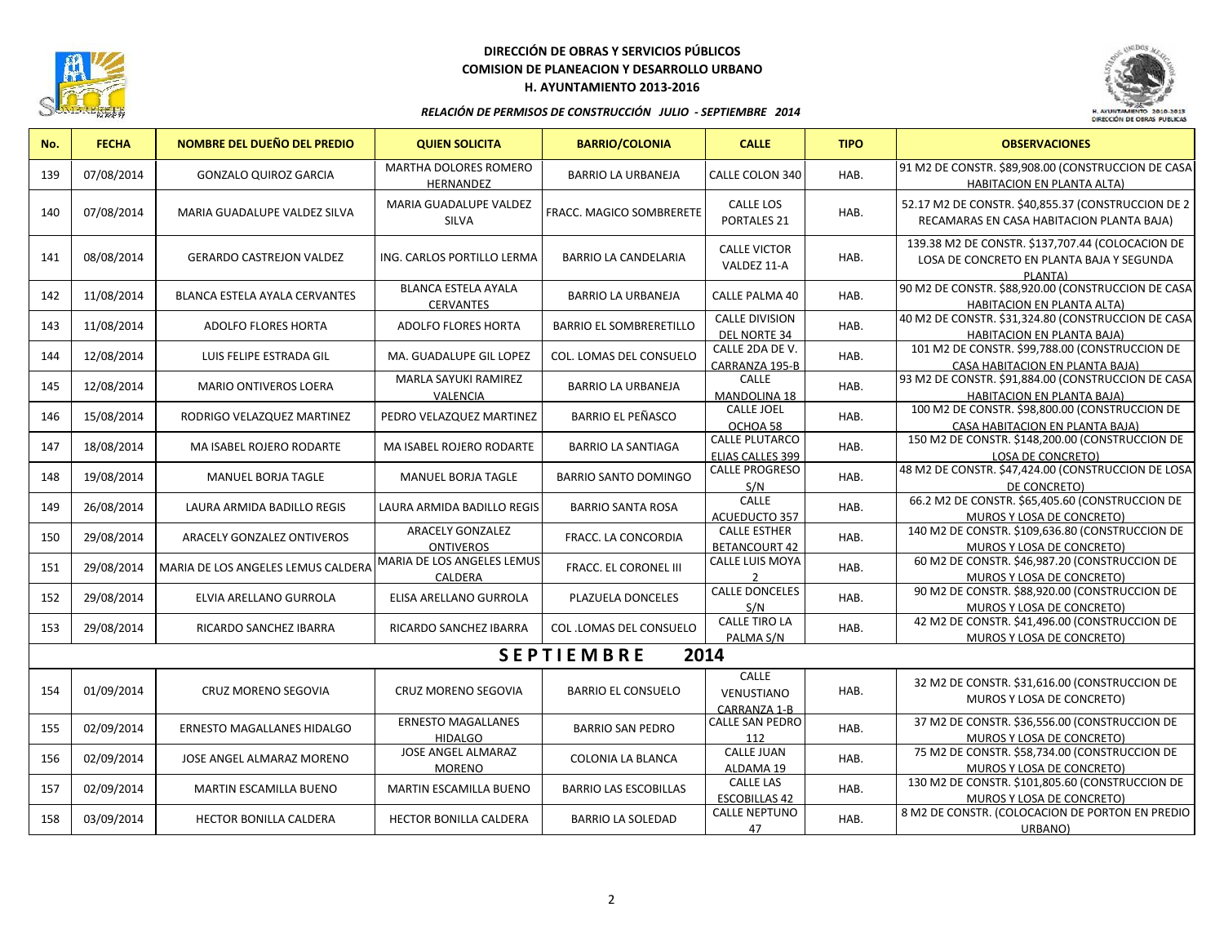

## **DIRECCIÓN DE OBRAS Y SERVICIOS PÚBLICOS COMISION DE PLANEACION Y DESARROLLO URBANO H. AYUNTAMIENTO 2013-2016**



### *RELACIÓN DE PERMISOS DE CONSTRUCCIÓN JULIO - SEPTIEMBRE 2014*

| No. | <b>FECHA</b> | <b>NOMBRE DEL DUEÑO DEL PREDIO</b>   | <b>QUIEN SOLICITA</b>                          | <b>BARRIO/COLONIA</b>          | <b>CALLE</b>                                 | <b>TIPO</b> | <b>OBSERVACIONES</b>                                                                                     |
|-----|--------------|--------------------------------------|------------------------------------------------|--------------------------------|----------------------------------------------|-------------|----------------------------------------------------------------------------------------------------------|
| 139 | 07/08/2014   | <b>GONZALO QUIROZ GARCIA</b>         | MARTHA DOLORES ROMERO<br>HERNANDEZ             | <b>BARRIO LA URBANEJA</b>      | CALLE COLON 340                              | HAB.        | 91 M2 DE CONSTR. \$89,908.00 (CONSTRUCCION DE CASA<br><b>HABITACION EN PLANTA ALTA)</b>                  |
| 140 | 07/08/2014   | MARIA GUADALUPE VALDEZ SILVA         | MARIA GUADALUPE VALDEZ<br><b>SILVA</b>         | FRACC. MAGICO SOMBRERETE       | <b>CALLE LOS</b><br>PORTALES <sub>21</sub>   | HAB.        | 52.17 M2 DE CONSTR. \$40,855.37 (CONSTRUCCION DE 2<br>RECAMARAS EN CASA HABITACION PLANTA BAJA)          |
| 141 | 08/08/2014   | <b>GERARDO CASTREJON VALDEZ</b>      | ING. CARLOS PORTILLO LERMA                     | <b>BARRIO LA CANDELARIA</b>    | <b>CALLE VICTOR</b><br>VALDEZ 11-A           | HAB.        | 139.38 M2 DE CONSTR. \$137,707.44 (COLOCACION DE<br>LOSA DE CONCRETO EN PLANTA BAJA Y SEGUNDA<br>PLANTA) |
| 142 | 11/08/2014   | <b>BLANCA ESTELA AYALA CERVANTES</b> | <b>BLANCA ESTELA AYALA</b><br><b>CERVANTES</b> | <b>BARRIO LA URBANEJA</b>      | <b>CALLE PALMA 40</b>                        | HAB.        | 90 M2 DE CONSTR. \$88,920.00 (CONSTRUCCION DE CASA<br><b>HABITACION EN PLANTA ALTA)</b>                  |
| 143 | 11/08/2014   | ADOLFO FLORES HORTA                  | ADOLFO FLORES HORTA                            | <b>BARRIO EL SOMBRERETILLO</b> | <b>CALLE DIVISION</b><br><b>DEL NORTE 34</b> | HAB.        | 40 M2 DE CONSTR. \$31,324.80 (CONSTRUCCION DE CASA<br><b>HABITACION EN PLANTA BAJA)</b>                  |
| 144 | 12/08/2014   | LUIS FELIPE ESTRADA GIL              | MA. GUADALUPE GIL LOPEZ                        | COL. LOMAS DEL CONSUELO        | CALLE 2DA DE V.<br>CARRANZA 195-B            | HAB.        | 101 M2 DE CONSTR. \$99,788.00 (CONSTRUCCION DE<br>CASA HABITACION EN PLANTA BAJA)                        |
| 145 | 12/08/2014   | <b>MARIO ONTIVEROS LOERA</b>         | MARLA SAYUKI RAMIREZ<br>VALENCIA               | <b>BARRIO LA URBANEJA</b>      | CALLE<br><b>MANDOLINA 18</b>                 | HAB.        | 93 M2 DE CONSTR. \$91,884.00 (CONSTRUCCION DE CASA<br>HABITACION EN PLANTA BAJA)                         |
| 146 | 15/08/2014   | RODRIGO VELAZQUEZ MARTINEZ           | PEDRO VELAZQUEZ MARTINEZ                       | <b>BARRIO EL PEÑASCO</b>       | <b>CALLE JOEL</b><br>OCHOA 58                | HAB.        | 100 M2 DE CONSTR. \$98,800.00 (CONSTRUCCION DE<br>CASA HABITACION EN PLANTA BAJA)                        |
| 147 | 18/08/2014   | MA ISABEL ROJERO RODARTE             | <b>MA ISABEL ROJERO RODARTE</b>                | <b>BARRIO LA SANTIAGA</b>      | <b>CALLE PLUTARCO</b><br>ELIAS CALLES 399    | HAB.        | 150 M2 DE CONSTR. \$148,200.00 (CONSTRUCCION DE<br><b>LOSA DE CONCRETO)</b>                              |
| 148 | 19/08/2014   | <b>MANUEL BORJA TAGLE</b>            | <b>MANUEL BORJA TAGLE</b>                      | <b>BARRIO SANTO DOMINGO</b>    | <b>CALLE PROGRESO</b><br>S/N                 | HAB.        | 48 M2 DE CONSTR. \$47,424.00 (CONSTRUCCION DE LOSA<br>DE CONCRETO)                                       |
| 149 | 26/08/2014   | LAURA ARMIDA BADILLO REGIS           | LAURA ARMIDA BADILLO REGIS                     | <b>BARRIO SANTA ROSA</b>       | CALLE<br><b>ACUEDUCTO 357</b>                | HAB.        | 66.2 M2 DE CONSTR. \$65,405.60 (CONSTRUCCION DE<br><b>MUROS Y LOSA DE CONCRETO)</b>                      |
| 150 | 29/08/2014   | ARACELY GONZALEZ ONTIVEROS           | <b>ARACELY GONZALEZ</b><br><b>ONTIVEROS</b>    | FRACC. LA CONCORDIA            | <b>CALLE ESTHER</b><br><b>BETANCOURT 42</b>  | HAB.        | 140 M2 DE CONSTR. \$109,636.80 (CONSTRUCCION DE<br>MUROS Y LOSA DE CONCRETO)                             |
| 151 | 29/08/2014   | MARIA DE LOS ANGELES LEMUS CALDERA   | <b>MARIA DE LOS ANGELES LEMUS</b><br>CALDERA   | <b>FRACC. EL CORONEL III</b>   | <b>CALLE LUIS MOYA</b><br>$\overline{z}$     | HAB.        | 60 M2 DE CONSTR. \$46,987.20 (CONSTRUCCION DE<br>MUROS Y LOSA DE CONCRETO)                               |
| 152 | 29/08/2014   | ELVIA ARELLANO GURROLA               | ELISA ARELLANO GURROLA                         | PLAZUELA DONCELES              | <b>CALLE DONCELES</b><br>S/N                 | HAB.        | 90 M2 DE CONSTR. \$88,920.00 (CONSTRUCCION DE<br>MUROS Y LOSA DE CONCRETO)                               |
| 153 | 29/08/2014   | RICARDO SANCHEZ IBARRA               | <b>RICARDO SANCHEZ IBARRA</b>                  | <b>COL.LOMAS DEL CONSUELO</b>  | <b>CALLE TIRO LA</b><br>PALMA S/N            | HAB.        | 42 M2 DE CONSTR. \$41,496.00 (CONSTRUCCION DE<br>MUROS Y LOSA DE CONCRETO)                               |
|     |              |                                      |                                                | <b>SEPTIEMBRE</b>              | 2014                                         |             |                                                                                                          |
| 154 | 01/09/2014   | <b>CRUZ MORENO SEGOVIA</b>           | CRUZ MORENO SEGOVIA                            | <b>BARRIO EL CONSUELO</b>      | CALLE<br>VENUSTIANO<br>CARRANZA 1-B          | HAB.        | 32 M2 DE CONSTR. \$31,616.00 (CONSTRUCCION DE<br>MUROS Y LOSA DE CONCRETO)                               |
| 155 | 02/09/2014   | ERNESTO MAGALLANES HIDALGO           | <b>ERNESTO MAGALLANES</b><br><b>HIDALGO</b>    | <b>BARRIO SAN PEDRO</b>        | <b>CALLE SAN PEDRO</b><br>112                | HAB.        | 37 M2 DE CONSTR. \$36,556.00 (CONSTRUCCION DE<br>MUROS Y LOSA DE CONCRETO)                               |
| 156 | 02/09/2014   | JOSE ANGEL ALMARAZ MORENO            | JOSE ANGEL ALMARAZ<br><b>MORENO</b>            | COLONIA LA BLANCA              | <b>CALLE JUAN</b><br>ALDAMA 19               | HAB.        | 75 M2 DE CONSTR. \$58,734.00 (CONSTRUCCION DE<br>MUROS Y LOSA DE CONCRETO)                               |
| 157 | 02/09/2014   | MARTIN ESCAMILLA BUENO               | <b>MARTIN ESCAMILLA BUENO</b>                  | <b>BARRIO LAS ESCOBILLAS</b>   | <b>CALLE LAS</b><br><b>ESCOBILLAS 42</b>     | HAB.        | 130 M2 DE CONSTR. \$101,805.60 (CONSTRUCCION DE<br>MUROS Y LOSA DE CONCRETO)                             |
| 158 | 03/09/2014   | HECTOR BONILLA CALDERA               | HECTOR BONILLA CALDERA                         | <b>BARRIO LA SOLEDAD</b>       | <b>CALLE NEPTUNO</b><br>47                   | HAB.        | 8 M2 DE CONSTR. (COLOCACION DE PORTON EN PREDIO<br>URBANO)                                               |